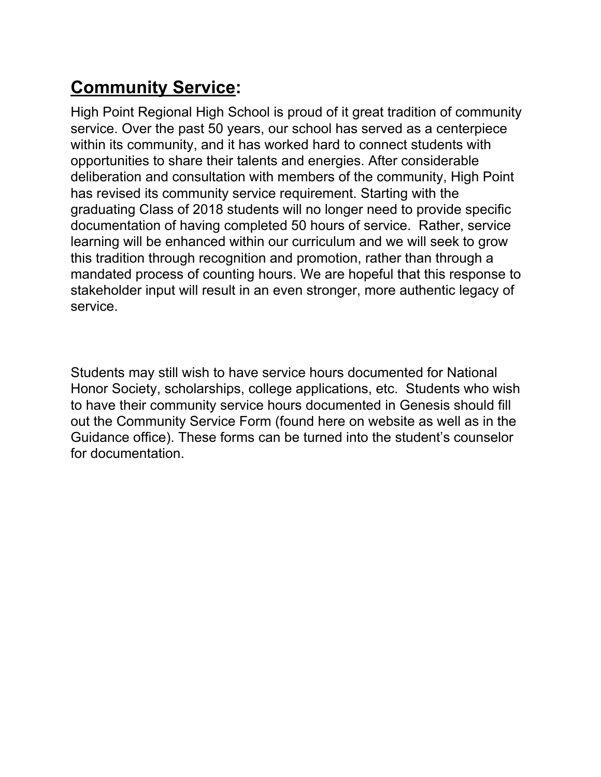## **Community Service:**

High Point Regional High School is proud of it great tradition of community service. Over the past 50 years, our school has served as a centerpiece within its community, and it has worked hard to connect students with opportunities to share their talents and energies. After considerable deliberation and consultation with members of the community, High Point has revised its community service requirement. Starting with the graduating Class of 2018 students will no longer need to provide specific documentation of having completed 50 hours of service. Rather, service learning will be enhanced within our curriculum and we will seek to grow this tradition through recognition and promotion, rather than through a mandated process of counting hours. We are hopeful that this response to stakeholder input will result in an even stronger, more authentic legacy of service.

Students may still wish to have service hours documented for National Honor Society, scholarships, college applications, etc. Students who wish to have their community service hours documented in Genesis should fill out the Community Service Form (found here on website as well as in the Guidance office). These forms can be turned into the student's counselor for documentation.